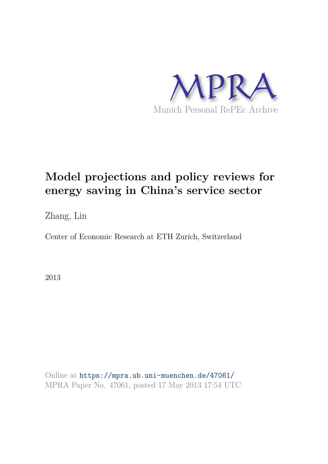

## **Model projections and policy reviews for energy saving in China's service sector**

Zhang, Lin

Center of Economic Research at ETH Zurich, Switzerland

2013

Online at https://mpra.ub.uni-muenchen.de/47061/ MPRA Paper No. 47061, posted 17 May 2013 17:54 UTC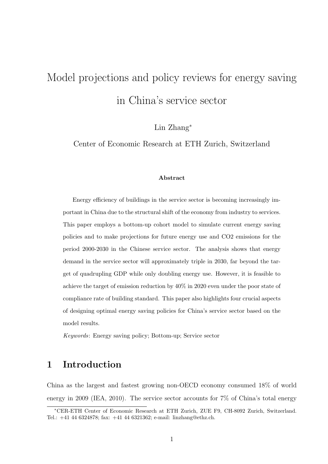# Model projections and policy reviews for energy saving in China's service sector

Lin Zhang<sup>∗</sup>

Center of Economic Research at ETH Zurich, Switzerland

#### Abstract

Energy efficiency of buildings in the service sector is becoming increasingly important in China due to the structural shift of the economy from industry to services. This paper employs a bottom-up cohort model to simulate current energy saving policies and to make projections for future energy use and CO2 emissions for the period 2000-2030 in the Chinese service sector. The analysis shows that energy demand in the service sector will approximately triple in 2030, far beyond the target of quadrupling GDP while only doubling energy use. However, it is feasible to achieve the target of emission reduction by 40% in 2020 even under the poor state of compliance rate of building standard. This paper also highlights four crucial aspects of designing optimal energy saving policies for China's service sector based on the model results.

*Keywords*: Energy saving policy; Bottom-up; Service sector

## 1 Introduction

China as the largest and fastest growing non-OECD economy consumed 18% of world energy in 2009 (IEA, 2010). The service sector accounts for 7% of China's total energy

<sup>∗</sup>CER-ETH Center of Economic Research at ETH Zurich, ZUE F9, CH-8092 Zurich, Switzerland. Tel.: +41 44 6324878; fax: +41 44 6321362; e-mail: linzhang@ethz.ch.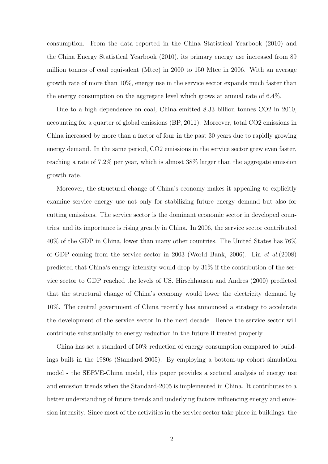consumption. From the data reported in the China Statistical Yearbook (2010) and the China Energy Statistical Yearbook (2010), its primary energy use increased from 89 million tonnes of coal equivalent (Mtce) in 2000 to 150 Mtce in 2006. With an average growth rate of more than 10%, energy use in the service sector expands much faster than the energy consumption on the aggregate level which grows at annual rate of 6.4%.

Due to a high dependence on coal, China emitted 8.33 billion tonnes CO2 in 2010, accounting for a quarter of global emissions (BP, 2011). Moreover, total CO2 emissions in China increased by more than a factor of four in the past 30 years due to rapidly growing energy demand. In the same period, CO2 emissions in the service sector grew even faster, reaching a rate of 7.2% per year, which is almost 38% larger than the aggregate emission growth rate.

Moreover, the structural change of China's economy makes it appealing to explicitly examine service energy use not only for stabilizing future energy demand but also for cutting emissions. The service sector is the dominant economic sector in developed countries, and its importance is rising greatly in China. In 2006, the service sector contributed 40% of the GDP in China, lower than many other countries. The United States has 76% of GDP coming from the service sector in 2003 (World Bank, 2006). Lin et al.(2008) predicted that China's energy intensity would drop by 31% if the contribution of the service sector to GDP reached the levels of US. Hirschhausen and Andres (2000) predicted that the structural change of China's economy would lower the electricity demand by 10%. The central government of China recently has announced a strategy to accelerate the development of the service sector in the next decade. Hence the service sector will contribute substantially to energy reduction in the future if treated properly.

China has set a standard of 50% reduction of energy consumption compared to buildings built in the 1980s (Standard-2005). By employing a bottom-up cohort simulation model - the SERVE-China model, this paper provides a sectoral analysis of energy use and emission trends when the Standard-2005 is implemented in China. It contributes to a better understanding of future trends and underlying factors influencing energy and emission intensity. Since most of the activities in the service sector take place in buildings, the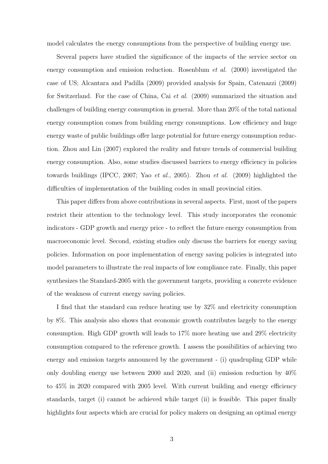model calculates the energy consumptions from the perspective of building energy use.

Several papers have studied the significance of the impacts of the service sector on energy consumption and emission reduction. Rosenblum *et al.* (2000) investigated the case of US; Alcantara and Padilla (2009) provided analysis for Spain, Catenazzi (2009) for Switzerland. For the case of China, Cai et al. (2009) summarized the situation and challenges of building energy consumption in general. More than 20% of the total national energy consumption comes from building energy consumptions. Low efficiency and huge energy waste of public buildings offer large potential for future energy consumption reduction. Zhou and Lin (2007) explored the reality and future trends of commercial building energy consumption. Also, some studies discussed barriers to energy efficiency in policies towards buildings (IPCC, 2007; Yao et al., 2005). Zhou et al. (2009) highlighted the difficulties of implementation of the building codes in small provincial cities.

This paper differs from above contributions in several aspects. First, most of the papers restrict their attention to the technology level. This study incorporates the economic indicators - GDP growth and energy price - to reflect the future energy consumption from macroeconomic level. Second, existing studies only discuss the barriers for energy saving policies. Information on poor implementation of energy saving policies is integrated into model parameters to illustrate the real impacts of low compliance rate. Finally, this paper synthesizes the Standard-2005 with the government targets, providing a concrete evidence of the weakness of current energy saving policies.

I find that the standard can reduce heating use by 32% and electricity consumption by 8%. This analysis also shows that economic growth contributes largely to the energy consumption. High GDP growth will leads to 17% more heating use and 29% electricity consumption compared to the reference growth. I assess the possibilities of achieving two energy and emission targets announced by the government - (i) quadrupling GDP while only doubling energy use between 2000 and 2020, and (ii) emission reduction by  $40\%$ to 45% in 2020 compared with 2005 level. With current building and energy efficiency standards, target (i) cannot be achieved while target (ii) is feasible. This paper finally highlights four aspects which are crucial for policy makers on designing an optimal energy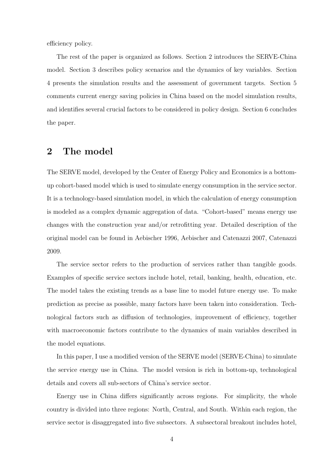efficiency policy.

The rest of the paper is organized as follows. Section 2 introduces the SERVE-China model. Section 3 describes policy scenarios and the dynamics of key variables. Section 4 presents the simulation results and the assessment of government targets. Section 5 comments current energy saving policies in China based on the model simulation results, and identifies several crucial factors to be considered in policy design. Section 6 concludes the paper.

## 2 The model

The SERVE model, developed by the Center of Energy Policy and Economics is a bottomup cohort-based model which is used to simulate energy consumption in the service sector. It is a technology-based simulation model, in which the calculation of energy consumption is modeled as a complex dynamic aggregation of data. "Cohort-based" means energy use changes with the construction year and/or retrofitting year. Detailed description of the original model can be found in Aebischer 1996, Aebischer and Catenazzi 2007, Catenazzi 2009.

The service sector refers to the production of services rather than tangible goods. Examples of specific service sectors include hotel, retail, banking, health, education, etc. The model takes the existing trends as a base line to model future energy use. To make prediction as precise as possible, many factors have been taken into consideration. Technological factors such as diffusion of technologies, improvement of efficiency, together with macroeconomic factors contribute to the dynamics of main variables described in the model equations.

In this paper, I use a modified version of the SERVE model (SERVE-China) to simulate the service energy use in China. The model version is rich in bottom-up, technological details and covers all sub-sectors of China's service sector.

Energy use in China differs significantly across regions. For simplicity, the whole country is divided into three regions: North, Central, and South. Within each region, the service sector is disaggregated into five subsectors. A subsectoral breakout includes hotel,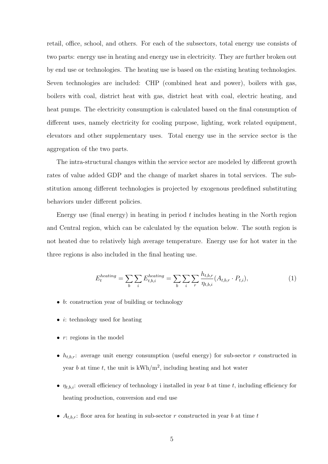retail, office, school, and others. For each of the subsectors, total energy use consists of two parts: energy use in heating and energy use in electricity. They are further broken out by end use or technologies. The heating use is based on the existing heating technologies. Seven technologies are included: CHP (combined heat and power), boilers with gas, boilers with coal, district heat with gas, district heat with coal, electric heating, and heat pumps. The electricity consumption is calculated based on the final consumption of different uses, namely electricity for cooling purpose, lighting, work related equipment, elevators and other supplementary uses. Total energy use in the service sector is the aggregation of the two parts.

The intra-structural changes within the service sector are modeled by different growth rates of value added GDP and the change of market shares in total services. The substitution among different technologies is projected by exogenous predefined substituting behaviors under different policies.

Energy use (final energy) in heating in period  $t$  includes heating in the North region and Central region, which can be calculated by the equation below. The south region is not heated due to relatively high average temperature. Energy use for hot water in the three regions is also included in the final heating use.

$$
E_t^{heating} = \sum_b \sum_i E_{t,b,i}^{heating} = \sum_b \sum_i \sum_r \frac{h_{t,b,r}}{\eta_{t,b,i}} (A_{t,b,r} \cdot P_{t,i}),
$$
\n(1)

- b: construction year of building or technology
- $i$ : technology used for heating
- $\bullet$  r: regions in the model
- $h_{t,b,r}$ : average unit energy consumption (useful energy) for sub-sector r constructed in year b at time t, the unit is  $kWh/m^2$ , including heating and hot water
- $\eta_{t,b,i}$ : overall efficiency of technology i installed in year b at time t, including efficiency for heating production, conversion and end use
- $A_{t,b,r}$ : floor area for heating in sub-sector r constructed in year b at time t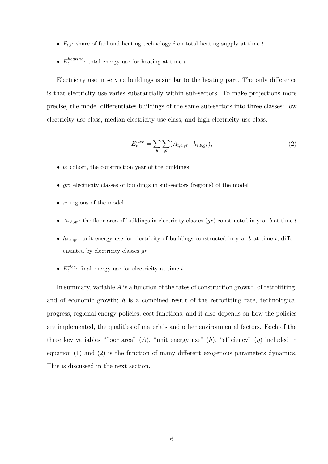- $P_{t,i}$ : share of fuel and heating technology i on total heating supply at time t
- $\bullet$   $E_t^{heating}$  $t_t^{neating}$ : total energy use for heating at time  $t$

Electricity use in service buildings is similar to the heating part. The only difference is that electricity use varies substantially within sub-sectors. To make projections more precise, the model differentiates buildings of the same sub-sectors into three classes: low electricity use class, median electricity use class, and high electricity use class.

$$
E_t^{elec} = \sum_b \sum_{gr} (A_{t,b,gr} \cdot h_{t,b,gr}), \qquad (2)
$$

- $\bullet$  b: cohort, the construction year of the buildings
- $qr$ : electricity classes of buildings in sub-sectors (regions) of the model
- $r:$  regions of the model
- $A_{t,b,qr}$ : the floor area of buildings in electricity classes  $(qr)$  constructed in year b at time t
- $h_{t,b,qr}$ : unit energy use for electricity of buildings constructed in year b at time t, differentiated by electricity classes gr
- $E_t^{elec}$ : final energy use for electricity at time  $t$

In summary, variable  $A$  is a function of the rates of construction growth, of retrofitting, and of economic growth;  $h$  is a combined result of the retrofitting rate, technological progress, regional energy policies, cost functions, and it also depends on how the policies are implemented, the qualities of materials and other environmental factors. Each of the three key variables "floor area"  $(A)$ , "unit energy use"  $(h)$ , "efficiency"  $(\eta)$  included in equation (1) and (2) is the function of many different exogenous parameters dynamics. This is discussed in the next section.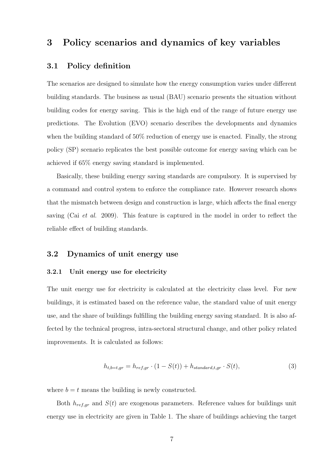## 3 Policy scenarios and dynamics of key variables

#### 3.1 Policy definition

The scenarios are designed to simulate how the energy consumption varies under different building standards. The business as usual (BAU) scenario presents the situation without building codes for energy saving. This is the high end of the range of future energy use predictions. The Evolution (EVO) scenario describes the developments and dynamics when the building standard of 50% reduction of energy use is enacted. Finally, the strong policy (SP) scenario replicates the best possible outcome for energy saving which can be achieved if 65% energy saving standard is implemented.

Basically, these building energy saving standards are compulsory. It is supervised by a command and control system to enforce the compliance rate. However research shows that the mismatch between design and construction is large, which affects the final energy saving (Cai *et al.* 2009). This feature is captured in the model in order to reflect the reliable effect of building standards.

#### 3.2 Dynamics of unit energy use

#### 3.2.1 Unit energy use for electricity

The unit energy use for electricity is calculated at the electricity class level. For new buildings, it is estimated based on the reference value, the standard value of unit energy use, and the share of buildings fulfilling the building energy saving standard. It is also affected by the technical progress, intra-sectoral structural change, and other policy related improvements. It is calculated as follows:

$$
h_{t,b=t,gr} = h_{ref,gr} \cdot (1 - S(t)) + h_{standard,t,gr} \cdot S(t),
$$
\n(3)

where  $b = t$  means the building is newly constructed.

Both  $h_{ref,gr}$  and  $S(t)$  are exogenous parameters. Reference values for buildings unit energy use in electricity are given in Table 1. The share of buildings achieving the target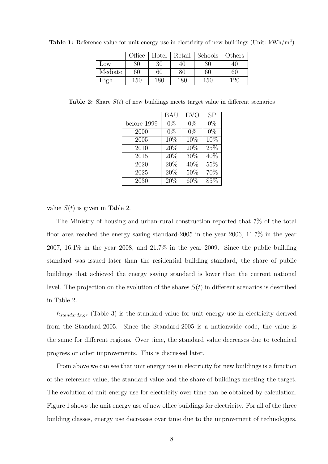|         | Office | Hotel | Retail | Schools | Others |
|---------|--------|-------|--------|---------|--------|
| Low     | 30     | 30    | 40     | 30      | 40     |
| Mediate | 60     | 60    | 80     | 60      | 60     |
| High    | 150    | 180   | 180    | 150     | 120    |

**Table 1:** Reference value for unit energy use in electricity of new buildings (Unit:  $kWh/m^2$ )

**Table 2:** Share  $S(t)$  of new buildings meets target value in different scenarios

|             | <b>BAU</b>    | <b>EVO</b> | <b>SP</b> |
|-------------|---------------|------------|-----------|
| before 1999 | $0\%$         | $0\%$      | $0\%$     |
| 2000        | $0\%$         | $0\%$      | $0\%$     |
| 2005        | $10\%$        | 10%        | $10\%$    |
| 2010        | 20%           | 20%        | 25%       |
| 2015        | $\sqrt{20\%}$ | $30\%$     | $40\%$    |
| 2020        | 20%           | 40%        | 55%       |
| 2025        | $20\%$        | $50\%$     | $70\%$    |
| 2030        | 20%           | 60%        | 85%       |

value  $S(t)$  is given in Table 2.

The Ministry of housing and urban-rural construction reported that 7% of the total floor area reached the energy saving standard-2005 in the year 2006, 11.7% in the year 2007, 16.1% in the year 2008, and 21.7% in the year 2009. Since the public building standard was issued later than the residential building standard, the share of public buildings that achieved the energy saving standard is lower than the current national level. The projection on the evolution of the shares  $S(t)$  in different scenarios is described in Table 2.

 $h_{standard, t, gr}$  (Table 3) is the standard value for unit energy use in electricity derived from the Standard-2005. Since the Standard-2005 is a nationwide code, the value is the same for different regions. Over time, the standard value decreases due to technical progress or other improvements. This is discussed later.

From above we can see that unit energy use in electricity for new buildings is a function of the reference value, the standard value and the share of buildings meeting the target. The evolution of unit energy use for electricity over time can be obtained by calculation. Figure 1 shows the unit energy use of new office buildings for electricity. For all of the three building classes, energy use decreases over time due to the improvement of technologies.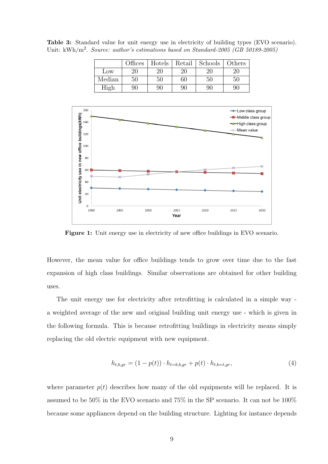|        | <b>Offices</b> | Hotels | Retail | Schools | Others |
|--------|----------------|--------|--------|---------|--------|
| Low    | 20             | 20     |        |         |        |
| Median | $50\,$         | 50     | 60     | 50      | 50     |
|        | 90             | 90     |        |         | 90     |

Table 3: Standard value for unit energy use in electricity of building types (EVO scenario). Unit: kWh/m<sup>2</sup>. *Source: author's estimations based on Standard-2005 (GB 50189-2005)* 



Figure 1: Unit energy use in electricity of new office buildings in EVO scenario.

However, the mean value for office buildings tends to grow over time due to the fast expansion of high class buildings. Similar observations are obtained for other building uses.

The unit energy use for electricity after retrofitting is calculated in a simple way a weighted average of the new and original building unit energy use - which is given in the following formula. This is because retrofitting buildings in electricity means simply replacing the old electric equipment with new equipment.

$$
h_{t,b,gr} = (1 - p(t)) \cdot h_{t=b,b,gr} + p(t) \cdot h_{t,b=t,gr},
$$
\n(4)

where parameter  $p(t)$  describes how many of the old equipments will be replaced. It is assumed to be 50% in the EVO scenario and 75% in the SP scenario. It can not be 100% because some appliances depend on the building structure. Lighting for instance depends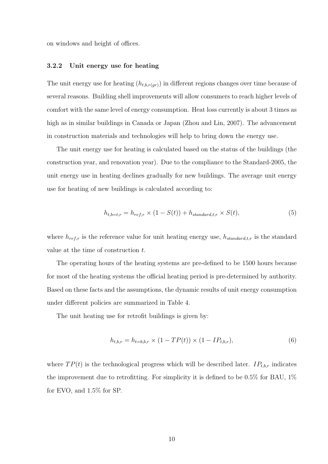on windows and height of offices.

#### 3.2.2 Unit energy use for heating

The unit energy use for heating  $(h_{t,b,r(gr)})$  in different regions changes over time because of several reasons. Building shell improvements will allow consumers to reach higher levels of comfort with the same level of energy consumption. Heat loss currently is about 3 times as high as in similar buildings in Canada or Japan (Zhou and Lin, 2007). The advancement in construction materials and technologies will help to bring down the energy use.

The unit energy use for heating is calculated based on the status of the buildings (the construction year, and renovation year). Due to the compliance to the Standard-2005, the unit energy use in heating declines gradually for new buildings. The average unit energy use for heating of new buildings is calculated according to:

$$
h_{t,b=t,r} = h_{ref,r} \times (1 - S(t)) + h_{standard,t,r} \times S(t),
$$
\n
$$
(5)
$$

where  $h_{ref,r}$  is the reference value for unit heating energy use,  $h_{standard,t,r}$  is the standard value at the time of construction t.

The operating hours of the heating systems are pre-defined to be 1500 hours because for most of the heating systems the official heating period is pre-determined by authority. Based on these facts and the assumptions, the dynamic results of unit energy consumption under different policies are summarized in Table 4.

The unit heating use for retrofit buildings is given by:

$$
h_{t,b,r} = h_{t=b,b,r} \times (1 - TP(t)) \times (1 - IP_{t,b,r}),
$$
\n(6)

where  $TP(t)$  is the technological progress which will be described later.  $IP_{t,b,r}$  indicates the improvement due to retrofitting. For simplicity it is defined to be  $0.5\%$  for BAU,  $1\%$ for EVO, and 1.5% for SP.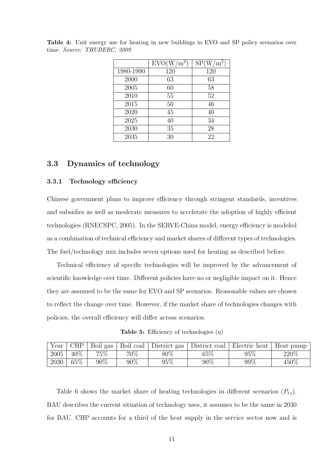|           | $EVO(W/m^2)$ | $\mathrm{W/m^{2}}$<br>SP( |
|-----------|--------------|---------------------------|
| 1980-1990 | 120          | 120                       |
| 2000      | 63           | 63                        |
| 2005      | 60           | 58                        |
| 2010      | 55           | 52                        |
| 2015      | 50           | 46                        |
| 2020      | 45           | 40                        |
| 2025      | 40           | 34                        |
| 2030      | 35           | 28                        |
| 2035      | 30           | 22                        |

Table 4: Unit energy use for heating in new buildings in EVO and SP policy scenarios over time. *Source: THUBERC, 2009*

#### 3.3 Dynamics of technology

#### 3.3.1 Technology efficiency

Chinese government plans to improve efficiency through stringent standards, incentives and subsidies as well as moderate measures to accelerate the adoption of highly efficient technologies (RNECSPC, 2005). In the SERVE-China model, energy efficiency is modeled as a combination of technical efficiency and market shares of different types of technologies. The fuel/technology mix includes seven options used for heating as described before.

Technical efficiency of specific technologies will be improved by the advancement of scientific knowledge over time. Different policies have no or negligible impact on it. Hence they are assumed to be the same for EVO and SP scenarios. Reasonable values are chosen to reflect the change over time. However, if the market share of technologies changes with policies, the overall efficiency will differ across scenarios.

**Table 5:** Efficiency of technologies  $(\eta)$ 

| Year | CHP  | Boil gas |        |        |        | Boil coal   District gas   District coal   Electric heat | Heat pump |
|------|------|----------|--------|--------|--------|----------------------------------------------------------|-----------|
| 2005 | 40\% | 75\%     | 70%    | $80\%$ | $65\%$ | $95\%$                                                   | $220\%$   |
| 2030 | 65%  | $90\%$   | $90\%$ | 95\%   | 90%    | $99\%$                                                   | $450\%$   |

Table 6 shows the market share of heating technologies in different scenarios  $(P_{t,i})$ . BAU describes the current situation of technology uses, it assumes to be the same in 2030 for BAU. CHP accounts for a third of the heat supply in the service sector now and is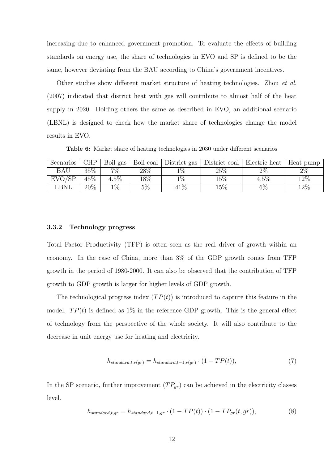increasing due to enhanced government promotion. To evaluate the effects of building standards on energy use, the share of technologies in EVO and SP is defined to be the same, however deviating from the BAU according to China's government incentives.

Other studies show different market structure of heating technologies. Zhou et al. (2007) indicated that district heat with gas will contribute to almost half of the heat supply in 2020. Holding others the same as described in EVO, an additional scenario (LBNL) is designed to check how the market share of technologies change the model results in EVO.

Table 6: Market share of heating technologies in 2030 under different scenarios

| Scenarios | CHP  | Boil gas | Boil coal | District gas | District coal | Electric heat | Heat pump |
|-----------|------|----------|-----------|--------------|---------------|---------------|-----------|
| BAU       | 35%  | $7\%$    | $28\%$    | $1\%$        | 25\%          | $2\%$         | $2\%$     |
| EVO/SP    | 45\% | $4.5\%$  | $18\%$    | $1\%$        | $15\%$        | $4.5\%$       | $12\%$    |
| BNL       | 20%  | $1\%$    | $5\%$     | $41\%$       | $15\%$        | $6\%$         | $12\%$    |

#### 3.3.2 Technology progress

Total Factor Productivity (TFP) is often seen as the real driver of growth within an economy. In the case of China, more than 3% of the GDP growth comes from TFP growth in the period of 1980-2000. It can also be observed that the contribution of TFP growth to GDP growth is larger for higher levels of GDP growth.

The technological progress index  $(TP(t))$  is introduced to capture this feature in the model.  $TP(t)$  is defined as 1% in the reference GDP growth. This is the general effect of technology from the perspective of the whole society. It will also contribute to the decrease in unit energy use for heating and electricity.

$$
h_{standard,t,r(gr)} = h_{standard,t-1,r(gr)} \cdot (1 - TP(t)),\tag{7}
$$

In the SP scenario, further improvement  $(T P_{gr})$  can be achieved in the electricity classes level.

$$
h_{standard, t, gr} = h_{standard, t-1, gr} \cdot (1 - TP(t)) \cdot (1 - TP_{gr}(t, gr)), \tag{8}
$$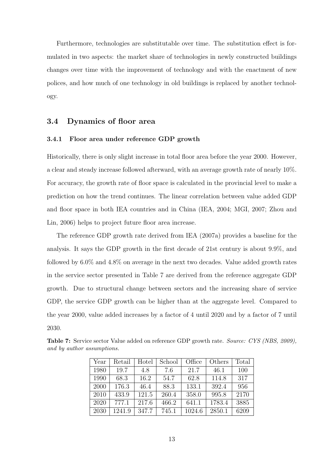Furthermore, technologies are substitutable over time. The substitution effect is formulated in two aspects: the market share of technologies in newly constructed buildings changes over time with the improvement of technology and with the enactment of new polices, and how much of one technology in old buildings is replaced by another technology.

#### 3.4 Dynamics of floor area

#### 3.4.1 Floor area under reference GDP growth

Historically, there is only slight increase in total floor area before the year 2000. However, a clear and steady increase followed afterward, with an average growth rate of nearly 10%. For accuracy, the growth rate of floor space is calculated in the provincial level to make a prediction on how the trend continues. The linear correlation between value added GDP and floor space in both IEA countries and in China (IEA, 2004; MGI, 2007; Zhou and Lin, 2006) helps to project future floor area increase.

The reference GDP growth rate derived from IEA (2007a) provides a baseline for the analysis. It says the GDP growth in the first decade of 21st century is about 9.9%, and followed by 6.0% and 4.8% on average in the next two decades. Value added growth rates in the service sector presented in Table 7 are derived from the reference aggregate GDP growth. Due to structural change between sectors and the increasing share of service GDP, the service GDP growth can be higher than at the aggregate level. Compared to the year 2000, value added increases by a factor of 4 until 2020 and by a factor of 7 until 2030.

| Year | Retail | Hotel | School | Office | Others | Total |
|------|--------|-------|--------|--------|--------|-------|
| 1980 | 19.7   | 4.8   | 7.6    | 21.7   | 46.1   | 100   |
| 1990 | 68.3   | 16.2  | 54.7   | 62.8   | 114.8  | 317   |
| 2000 | 176.3  | 46.4  | 88.3   | 133.1  | 392.4  | 956   |
| 2010 | 433.9  | 121.5 | 260.4  | 358.0  | 995.8  | 2170  |
| 2020 | 777.1  | 217.6 | 466.2  | 641.1  | 1783.4 | 3885  |
| 2030 | 1241.9 | 347.7 | 745.1  | 1024.6 | 2850.1 | 6209  |

Table 7: Service sector Value added on reference GDP growth rate. *Source: CYS (NBS, 2009), and by author assumptions.*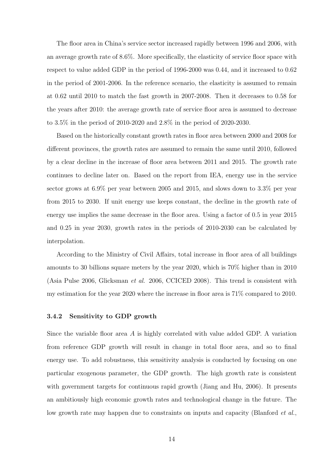The floor area in China's service sector increased rapidly between 1996 and 2006, with an average growth rate of 8.6%. More specifically, the elasticity of service floor space with respect to value added GDP in the period of 1996-2000 was 0.44, and it increased to 0.62 in the period of 2001-2006. In the reference scenario, the elasticity is assumed to remain at 0.62 until 2010 to match the fast growth in 2007-2008. Then it decreases to 0.58 for the years after 2010: the average growth rate of service floor area is assumed to decrease to 3.5% in the period of 2010-2020 and 2.8% in the period of 2020-2030.

Based on the historically constant growth rates in floor area between 2000 and 2008 for different provinces, the growth rates are assumed to remain the same until 2010, followed by a clear decline in the increase of floor area between 2011 and 2015. The growth rate continues to decline later on. Based on the report from IEA, energy use in the service sector grows at 6.9% per year between 2005 and 2015, and slows down to 3.3% per year from 2015 to 2030. If unit energy use keeps constant, the decline in the growth rate of energy use implies the same decrease in the floor area. Using a factor of 0.5 in year 2015 and 0.25 in year 2030, growth rates in the periods of 2010-2030 can be calculated by interpolation.

According to the Ministry of Civil Affairs, total increase in floor area of all buildings amounts to 30 billions square meters by the year 2020, which is 70% higher than in 2010 (Asia Pulse 2006, Glicksman et al. 2006, CCICED 2008). This trend is consistent with my estimation for the year 2020 where the increase in floor area is 71% compared to 2010.

#### 3.4.2 Sensitivity to GDP growth

Since the variable floor area  $A$  is highly correlated with value added GDP. A variation from reference GDP growth will result in change in total floor area, and so to final energy use. To add robustness, this sensitivity analysis is conducted by focusing on one particular exogenous parameter, the GDP growth. The high growth rate is consistent with government targets for continuous rapid growth (Jiang and Hu, 2006). It presents an ambitiously high economic growth rates and technological change in the future. The low growth rate may happen due to constraints on inputs and capacity (Blanford *et al.*,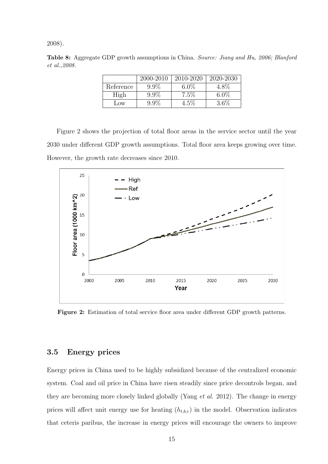2008).

Table 8: Aggregate GDP growth assumptions in China. *Source: Jiang and Hu, 2006; Blanford et al.,2008.*

|           | 2000-2010 | 2010-2020 | 2020-2030 |
|-----------|-----------|-----------|-----------|
| Reference | $9.9\%$   | $6.0\%$   | $4.8\%$   |
| High      | $9.9\%$   | 7.5%      | $6.0\%$   |
| Low       | $9.9\%$   | $4.5\%$   | 3.6%      |

Figure 2 shows the projection of total floor areas in the service sector until the year 2030 under different GDP growth assumptions. Total floor area keeps growing over time. However, the growth rate decreases since 2010.



Figure 2: Estimation of total service floor area under different GDP growth patterns.

### 3.5 Energy prices

Energy prices in China used to be highly subsidized because of the centralized economic system. Coal and oil price in China have risen steadily since price decontrols began, and they are becoming more closely linked globally (Yang *et al.* 2012). The change in energy prices will affect unit energy use for heating  $(h_{t,b,r})$  in the model. Observation indicates that ceteris paribus, the increase in energy prices will encourage the owners to improve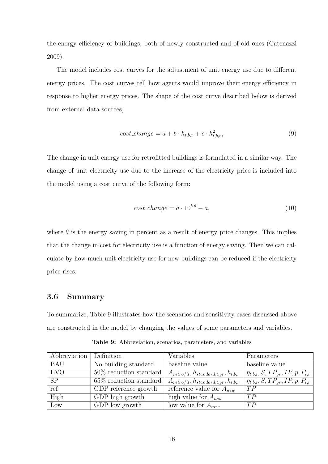the energy efficiency of buildings, both of newly constructed and of old ones (Catenazzi 2009).

The model includes cost curves for the adjustment of unit energy use due to different energy prices. The cost curves tell how agents would improve their energy efficiency in response to higher energy prices. The shape of the cost curve described below is derived from external data sources,

$$
cost\_change = a + b \cdot h_{t,b,r} + c \cdot h_{t,b,r}^2,
$$
\n
$$
(9)
$$

The change in unit energy use for retrofitted buildings is formulated in a similar way. The change of unit electricity use due to the increase of the electricity price is included into the model using a cost curve of the following form:

$$
cost\_change = a \cdot 10^{b \cdot \theta} - a,\tag{10}
$$

where  $\theta$  is the energy saving in percent as a result of energy price changes. This implies that the change in cost for electricity use is a function of energy saving. Then we can calculate by how much unit electricity use for new buildings can be reduced if the electricity price rises.

#### 3.6 Summary

To summarize, Table 9 illustrates how the scenarios and sensitivity cases discussed above are constructed in the model by changing the values of some parameters and variables.

| Abbreviation | Definition                               | Variables                                          | Parameters                                 |
|--------------|------------------------------------------|----------------------------------------------------|--------------------------------------------|
| <b>BAU</b>   | No building standard                     | baseline value                                     | baseline value                             |
| <b>EVO</b>   | $50\%$ reduction standard                | $A_{retr of it}, h_{standard, t, gr}, h_{t, b, r}$ | $\eta_{t,b,i}, S, TP_{gr}, IP, p, P_{t,i}$ |
| <b>SP</b>    | $65\%$ reduction standard                | $A_{retrofit}, h_{standard,t,gr}, h_{t,b,r}$       | $\eta_{t,b,i}, S, TP_{gr}, IP, p, P_{t,i}$ |
| ref          | $\overline{\text{GDP}}$ reference growth | reference value for $A_{new}$                      | TP                                         |
| High         | GDP high growth                          | high value for $A_{new}$                           | TP                                         |
| Low          | GDP low growth                           | low value for $A_{new}$                            | TP                                         |

Table 9: Abbreviation, scenarios, parameters, and variables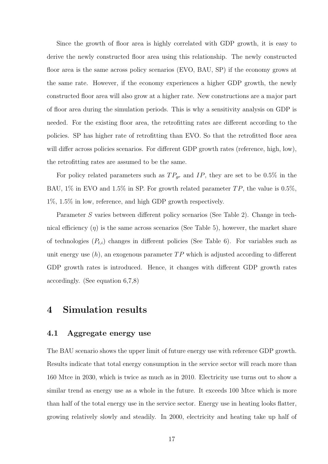Since the growth of floor area is highly correlated with GDP growth, it is easy to derive the newly constructed floor area using this relationship. The newly constructed floor area is the same across policy scenarios (EVO, BAU, SP) if the economy grows at the same rate. However, if the economy experiences a higher GDP growth, the newly constructed floor area will also grow at a higher rate. New constructions are a major part of floor area during the simulation periods. This is why a sensitivity analysis on GDP is needed. For the existing floor area, the retrofitting rates are different according to the policies. SP has higher rate of retrofitting than EVO. So that the retrofitted floor area will differ across policies scenarios. For different GDP growth rates (reference, high, low), the retrofitting rates are assumed to be the same.

For policy related parameters such as  $TP_{gr}$  and IP, they are set to be 0.5% in the BAU, 1% in EVO and 1.5% in SP. For growth related parameter  $TP$ , the value is 0.5%, 1%, 1.5% in low, reference, and high GDP growth respectively.

Parameter S varies between different policy scenarios (See Table 2). Change in technical efficiency  $(\eta)$  is the same across scenarios (See Table 5), however, the market share of technologies  $(P_{t,i})$  changes in different policies (See Table 6). For variables such as unit energy use  $(h)$ , an exogenous parameter  $TP$  which is adjusted according to different GDP growth rates is introduced. Hence, it changes with different GDP growth rates accordingly. (See equation 6,7,8)

## 4 Simulation results

#### 4.1 Aggregate energy use

The BAU scenario shows the upper limit of future energy use with reference GDP growth. Results indicate that total energy consumption in the service sector will reach more than 160 Mtce in 2030, which is twice as much as in 2010. Electricity use turns out to show a similar trend as energy use as a whole in the future. It exceeds 100 Mtce which is more than half of the total energy use in the service sector. Energy use in heating looks flatter, growing relatively slowly and steadily. In 2000, electricity and heating take up half of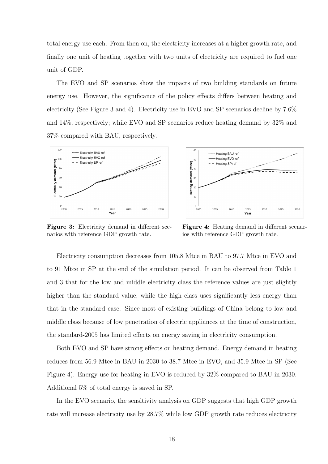total energy use each. From then on, the electricity increases at a higher growth rate, and finally one unit of heating together with two units of electricity are required to fuel one unit of GDP.

The EVO and SP scenarios show the impacts of two building standards on future energy use. However, the significance of the policy effects differs between heating and electricity (See Figure 3 and 4). Electricity use in EVO and SP scenarios decline by 7.6% and 14%, respectively; while EVO and SP scenarios reduce heating demand by 32% and 37% compared with BAU, respectively.



Figure 3: Electricity demand in different scenarios with reference GDP growth rate.



Figure 4: Heating demand in different scenarios with reference GDP growth rate.

Electricity consumption decreases from 105.8 Mtce in BAU to 97.7 Mtce in EVO and to 91 Mtce in SP at the end of the simulation period. It can be observed from Table 1 and 3 that for the low and middle electricity class the reference values are just slightly higher than the standard value, while the high class uses significantly less energy than that in the standard case. Since most of existing buildings of China belong to low and middle class because of low penetration of electric appliances at the time of construction, the standard-2005 has limited effects on energy saving in electricity consumption.

Both EVO and SP have strong effects on heating demand. Energy demand in heating reduces from 56.9 Mtce in BAU in 2030 to 38.7 Mtce in EVO, and 35.9 Mtce in SP (See Figure 4). Energy use for heating in EVO is reduced by 32% compared to BAU in 2030. Additional 5% of total energy is saved in SP.

In the EVO scenario, the sensitivity analysis on GDP suggests that high GDP growth rate will increase electricity use by 28.7% while low GDP growth rate reduces electricity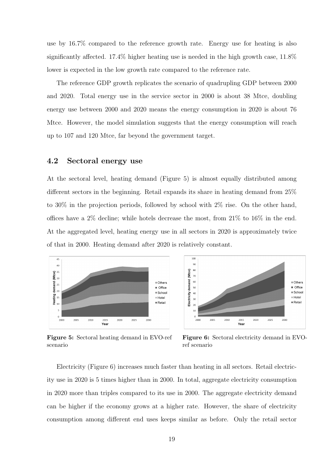use by 16.7% compared to the reference growth rate. Energy use for heating is also significantly affected. 17.4% higher heating use is needed in the high growth case, 11.8% lower is expected in the low growth rate compared to the reference rate.

The reference GDP growth replicates the scenario of quadrupling GDP between 2000 and 2020. Total energy use in the service sector in 2000 is about 38 Mtce, doubling energy use between 2000 and 2020 means the energy consumption in 2020 is about 76 Mtce. However, the model simulation suggests that the energy consumption will reach up to 107 and 120 Mtce, far beyond the government target.

#### 4.2 Sectoral energy use

At the sectoral level, heating demand (Figure 5) is almost equally distributed among different sectors in the beginning. Retail expands its share in heating demand from 25% to 30% in the projection periods, followed by school with 2% rise. On the other hand, offices have a 2% decline; while hotels decrease the most, from 21% to 16% in the end. At the aggregated level, heating energy use in all sectors in 2020 is approximately twice of that in 2000. Heating demand after 2020 is relatively constant.





Figure 5: Sectoral heating demand in EVO-ref scenario

Figure 6: Sectoral electricity demand in EVOref scenario

Electricity (Figure 6) increases much faster than heating in all sectors. Retail electricity use in 2020 is 5 times higher than in 2000. In total, aggregate electricity consumption in 2020 more than triples compared to its use in 2000. The aggregate electricity demand can be higher if the economy grows at a higher rate. However, the share of electricity consumption among different end uses keeps similar as before. Only the retail sector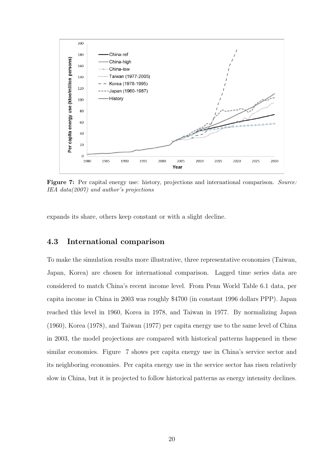

Figure 7: Per capital energy use: history, projections and international comparison. *Source: IEA data(2007) and author's projections*

expands its share, others keep constant or with a slight decline.

#### 4.3 International comparison

To make the simulation results more illustrative, three representative economies (Taiwan, Japan, Korea) are chosen for international comparison. Lagged time series data are considered to match China's recent income level. From Penn World Table 6.1 data, per capita income in China in 2003 was roughly \$4700 (in constant 1996 dollars PPP). Japan reached this level in 1960, Korea in 1978, and Taiwan in 1977. By normalizing Japan (1960), Korea (1978), and Taiwan (1977) per capita energy use to the same level of China in 2003, the model projections are compared with historical patterns happened in these similar economies. Figure 7 shows per capita energy use in China's service sector and its neighboring economies. Per capita energy use in the service sector has risen relatively slow in China, but it is projected to follow historical patterns as energy intensity declines.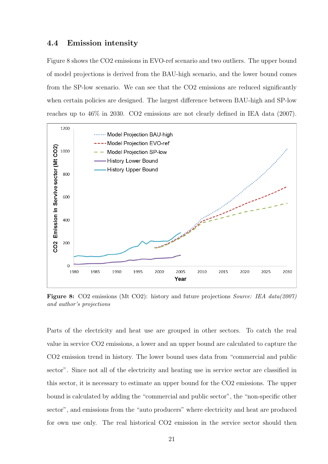#### 4.4 Emission intensity

Figure 8 shows the CO2 emissions in EVO-ref scenario and two outliers. The upper bound of model projections is derived from the BAU-high scenario, and the lower bound comes from the SP-low scenario. We can see that the CO2 emissions are reduced significantly when certain policies are designed. The largest difference between BAU-high and SP-low reaches up to 46% in 2030. CO2 emissions are not clearly defined in IEA data (2007).



Figure 8: CO2 emissions (Mt CO2): history and future projections *Source: IEA data(2007) and author's projections*

Parts of the electricity and heat use are grouped in other sectors. To catch the real value in service CO2 emissions, a lower and an upper bound are calculated to capture the CO2 emission trend in history. The lower bound uses data from "commercial and public sector". Since not all of the electricity and heating use in service sector are classified in this sector, it is necessary to estimate an upper bound for the CO2 emissions. The upper bound is calculated by adding the "commercial and public sector", the "non-specific other sector", and emissions from the "auto producers" where electricity and heat are produced for own use only. The real historical CO2 emission in the service sector should then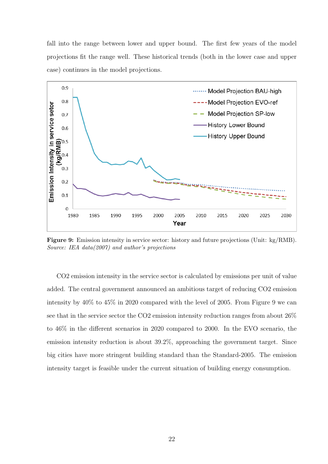fall into the range between lower and upper bound. The first few years of the model projections fit the range well. These historical trends (both in the lower case and upper case) continues in the model projections.



Figure 9: Emission intensity in service sector: history and future projections (Unit: kg/RMB). *Source: IEA data(2007) and author's projections*

CO2 emission intensity in the service sector is calculated by emissions per unit of value added. The central government announced an ambitious target of reducing CO2 emission intensity by 40% to 45% in 2020 compared with the level of 2005. From Figure 9 we can see that in the service sector the CO2 emission intensity reduction ranges from about 26% to 46% in the different scenarios in 2020 compared to 2000. In the EVO scenario, the emission intensity reduction is about 39.2%, approaching the government target. Since big cities have more stringent building standard than the Standard-2005. The emission intensity target is feasible under the current situation of building energy consumption.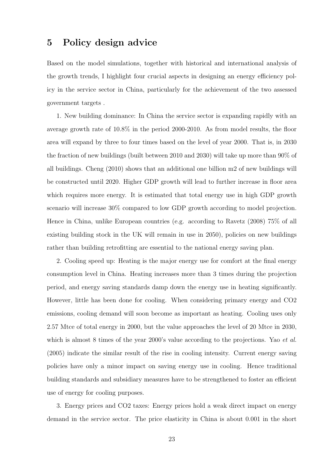## 5 Policy design advice

Based on the model simulations, together with historical and international analysis of the growth trends, I highlight four crucial aspects in designing an energy efficiency policy in the service sector in China, particularly for the achievement of the two assessed government targets .

1. New building dominance: In China the service sector is expanding rapidly with an average growth rate of 10.8% in the period 2000-2010. As from model results, the floor area will expand by three to four times based on the level of year 2000. That is, in 2030 the fraction of new buildings (built between 2010 and 2030) will take up more than 90% of all buildings. Cheng (2010) shows that an additional one billion m2 of new buildings will be constructed until 2020. Higher GDP growth will lead to further increase in floor area which requires more energy. It is estimated that total energy use in high GDP growth scenario will increase 30% compared to low GDP growth according to model projection. Hence in China, unlike European countries (e.g. according to Ravetz (2008) 75% of all existing building stock in the UK will remain in use in 2050), policies on new buildings rather than building retrofitting are essential to the national energy saving plan.

2. Cooling speed up: Heating is the major energy use for comfort at the final energy consumption level in China. Heating increases more than 3 times during the projection period, and energy saving standards damp down the energy use in heating significantly. However, little has been done for cooling. When considering primary energy and CO2 emissions, cooling demand will soon become as important as heating. Cooling uses only 2.57 Mtce of total energy in 2000, but the value approaches the level of 20 Mtce in 2030, which is almost 8 times of the year 2000's value according to the projections. Yao *et al.* (2005) indicate the similar result of the rise in cooling intensity. Current energy saving policies have only a minor impact on saving energy use in cooling. Hence traditional building standards and subsidiary measures have to be strengthened to foster an efficient use of energy for cooling purposes.

3. Energy prices and CO2 taxes: Energy prices hold a weak direct impact on energy demand in the service sector. The price elasticity in China is about 0.001 in the short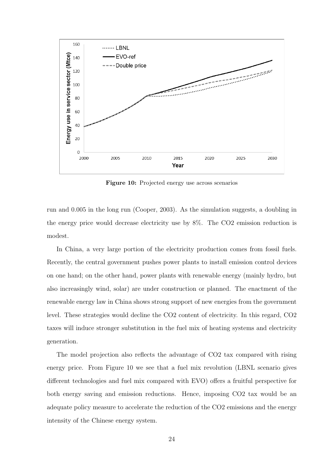

Figure 10: Projected energy use across scenarios

run and 0.005 in the long run (Cooper, 2003). As the simulation suggests, a doubling in the energy price would decrease electricity use by 8%. The CO2 emission reduction is modest.

In China, a very large portion of the electricity production comes from fossil fuels. Recently, the central government pushes power plants to install emission control devices on one hand; on the other hand, power plants with renewable energy (mainly hydro, but also increasingly wind, solar) are under construction or planned. The enactment of the renewable energy law in China shows strong support of new energies from the government level. These strategies would decline the CO2 content of electricity. In this regard, CO2 taxes will induce stronger substitution in the fuel mix of heating systems and electricity generation.

The model projection also reflects the advantage of CO2 tax compared with rising energy price. From Figure 10 we see that a fuel mix revolution (LBNL scenario gives different technologies and fuel mix compared with EVO) offers a fruitful perspective for both energy saving and emission reductions. Hence, imposing CO2 tax would be an adequate policy measure to accelerate the reduction of the CO2 emissions and the energy intensity of the Chinese energy system.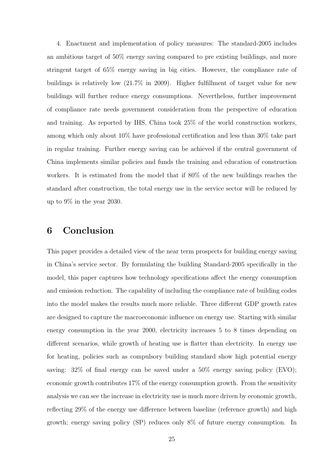4. Enactment and implementation of policy measures: The standard-2005 includes an ambitious target of 50% energy saving compared to pre existing buildings, and more stringent target of 65% energy saving in big cities. However, the compliance rate of buildings is relatively low (21.7% in 2009). Higher fulfillment of target value for new buildings will further reduce energy consumptions. Nevertheless, further improvement of compliance rate needs government consideration from the perspective of education and training. As reported by IHS, China took 25% of the world construction workers, among which only about 10% have professional certification and less than 30% take part in regular training. Further energy saving can be achieved if the central government of China implements similar policies and funds the training and education of construction workers. It is estimated from the model that if 80% of the new buildings reaches the standard after construction, the total energy use in the service sector will be reduced by up to 9% in the year 2030.

## 6 Conclusion

This paper provides a detailed view of the near term prospects for building energy saving in China's service sector. By formulating the building Standard-2005 specifically in the model, this paper captures how technology specifications affect the energy consumption and emission reduction. The capability of including the compliance rate of building codes into the model makes the results much more reliable. Three different GDP growth rates are designed to capture the macroeconomic influence on energy use. Starting with similar energy consumption in the year 2000, electricity increases 5 to 8 times depending on different scenarios, while growth of heating use is flatter than electricity. In energy use for heating, policies such as compulsory building standard show high potential energy saving: 32% of final energy can be saved under a 50% energy saving policy (EVO); economic growth contributes 17% of the energy consumption growth. From the sensitivity analysis we can see the increase in electricity use is much more driven by economic growth, reflecting 29% of the energy use difference between baseline (reference growth) and high growth; energy saving policy (SP) reduces only 8% of future energy consumption. In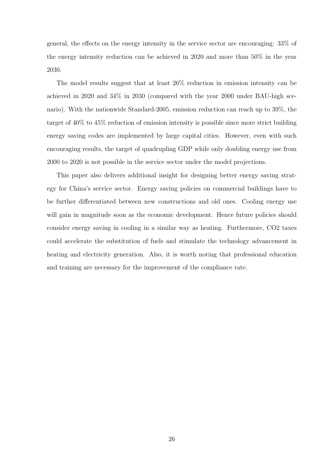general, the effects on the energy intensity in the service sector are encouraging: 33% of the energy intensity reduction can be achieved in 2020 and more than 50% in the year 2030.

The model results suggest that at least 26% reduction in emission intensity can be achieved in 2020 and 34% in 2030 (compared with the year 2000 under BAU-high scenario). With the nationwide Standard-2005, emission reduction can reach up to 39%, the target of 40% to 45% reduction of emission intensity is possible since more strict building energy saving codes are implemented by large capital cities. However, even with such encouraging results, the target of quadrupling GDP while only doubling energy use from 2000 to 2020 is not possible in the service sector under the model projections.

This paper also delivers additional insight for designing better energy saving strategy for China's service sector. Energy saving policies on commercial buildings have to be further differentiated between new constructions and old ones. Cooling energy use will gain in magnitude soon as the economic development. Hence future policies should consider energy saving in cooling in a similar way as heating. Furthermore, CO2 taxes could accelerate the substitution of fuels and stimulate the technology advancement in heating and electricity generation. Also, it is worth noting that professional education and training are necessary for the improvement of the compliance rate.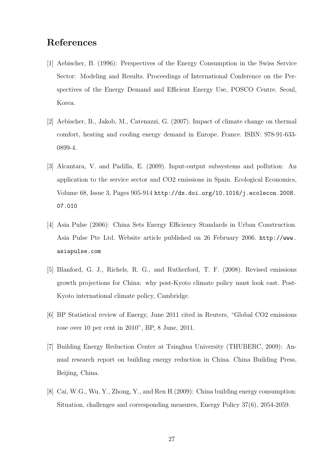## References

- [1] Aebischer, B. (1996): Perspectives of the Energy Consumption in the Swiss Service Sector: Modeling and Results. Proceedings of International Conference on the Perspectives of the Energy Demand and Efficient Energy Use, POSCO Centre. Seoul, Korea.
- [2] Aebischer, B., Jakob, M., Catenazzi, G. (2007). Impact of climate change on thermal comfort, heating and cooling energy demand in Europe. France. ISBN: 978-91-633- 0899-4.
- [3] Alcantara, V. and Padilla, E. (2009). Input-output subsystems and pollution: An application to the service sector and CO2 emissions in Spain. Ecological Economics, Volume 68, Issue 3, Pages 905-914 http://dx.doi.org/10.1016/j.ecolecon.2008. 07.010
- [4] Asia Pulse (2006): China Sets Energy Efficiency Standards in Urban Construction. Asia Pulse Pte Ltd. Website article published on 26 February 2006. http://www. asiapulse.com
- [5] Blanford, G. J., Richels, R. G., and Rutherford, T. F. (2008). Revised emissions growth projections for China: why post-Kyoto climate policy must look east. Post-Kyoto international climate policy, Cambridge.
- [6] BP Statistical review of Energy, June 2011 cited in Reuters, "Global CO2 emissions rose over 10 per cent in 2010", BP, 8 June, 2011.
- [7] Building Energy Reduction Center at Tsinghua University (THUBERC, 2009): Annual research report on building energy reduction in China. China Building Press, Beijing, China.
- [8] Cai, W.G., Wu, Y., Zhong, Y., and Ren H.(2009): China building energy consumption: Situation, challenges and corresponding measures, Energy Policy 37(6), 2054-2059.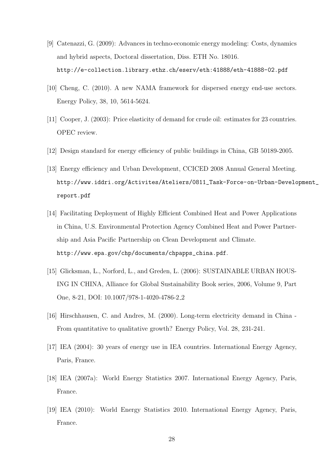- [9] Catenazzi, G. (2009): Advances in techno-economic energy modeling: Costs, dynamics and hybrid aspects, Doctoral dissertation, Diss. ETH No. 18016. http://e-collection.library.ethz.ch/eserv/eth:41888/eth-41888-02.pdf
- [10] Cheng, C. (2010). A new NAMA framework for dispersed energy end-use sectors. Energy Policy, 38, 10, 5614-5624.
- [11] Cooper, J. (2003): Price elasticity of demand for crude oil: estimates for 23 countries. OPEC review.
- [12] Design standard for energy efficiency of public buildings in China, GB 50189-2005.
- [13] Energy efficiency and Urban Development, CCICED 2008 Annual General Meeting. http://www.iddri.org/Activites/Ateliers/0811\_Task-Force-on-Urban-Development\_ report.pdf
- [14] Facilitating Deployment of Highly Efficient Combined Heat and Power Applications in China, U.S. Environmental Protection Agency Combined Heat and Power Partnership and Asia Pacific Partnership on Clean Development and Climate. http://www.epa.gov/chp/documents/chpapps\_china.pdf.
- [15] Glicksman, L., Norford, L., and Greden, L. (2006): SUSTAINABLE URBAN HOUS-ING IN CHINA, Alliance for Global Sustainability Book series, 2006, Volume 9, Part One, 8-21, DOI: 10.1007/978-1-4020-4786-2 2
- [16] Hirschhausen, C. and Andres, M. (2000). Long-term electricity demand in China From quantitative to qualitative growth? Energy Policy, Vol. 28, 231-241.
- [17] IEA (2004): 30 years of energy use in IEA countries. International Energy Agency, Paris, France.
- [18] IEA (2007a): World Energy Statistics 2007. International Energy Agency, Paris, France.
- [19] IEA (2010): World Energy Statistics 2010. International Energy Agency, Paris, France.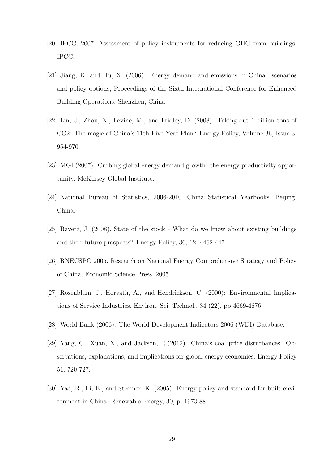- [20] IPCC, 2007. Assessment of policy instruments for reducing GHG from buildings. IPCC.
- [21] Jiang, K. and Hu, X. (2006): Energy demand and emissions in China: scenarios and policy options, Proceedings of the Sixth International Conference for Enhanced Building Operations, Shenzhen, China.
- [22] Lin, J., Zhou, N., Levine, M., and Fridley, D. (2008): Taking out 1 billion tons of CO2: The magic of China's 11th Five-Year Plan? Energy Policy, Volume 36, Issue 3, 954-970.
- [23] MGI (2007): Curbing global energy demand growth: the energy productivity opportunity. McKinsey Global Institute.
- [24] National Bureau of Statistics, 2006-2010. China Statistical Yearbooks. Beijing, China.
- [25] Ravetz, J. (2008). State of the stock What do we know about existing buildings and their future prospects? Energy Policy, 36, 12, 4462-447.
- [26] RNECSPC 2005. Research on National Energy Comprehensive Strategy and Policy of China, Economic Science Press, 2005.
- [27] Rosenblum, J., Horvath, A., and Hendrickson, C. (2000): Environmental Implications of Service Industries. Environ. Sci. Technol., 34 (22), pp 4669-4676
- [28] World Bank (2006): The World Development Indicators 2006 (WDI) Database.
- [29] Yang, C., Xuan, X., and Jackson, R.(2012): China's coal price disturbances: Observations, explanations, and implications for global energy economies. Energy Policy 51, 720-727.
- [30] Yao, R., Li, B., and Steemer, K. (2005): Energy policy and standard for built environment in China. Renewable Energy, 30, p. 1973-88.